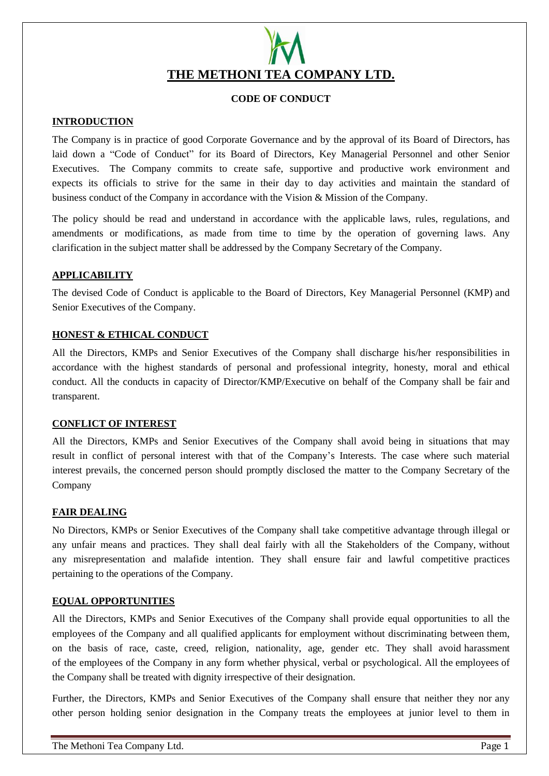# **THE METHONI TEA COMPANY LTD.**

# **CODE OF CONDUCT**

# **INTRODUCTION**

The Company is in practice of good Corporate Governance and by the approval of its Board of Directors, has laid down a "Code of Conduct" for its Board of Directors, Key Managerial Personnel and other Senior Executives. The Company commits to create safe, supportive and productive work environment and expects its officials to strive for the same in their day to day activities and maintain the standard of business conduct of the Company in accordance with the Vision & Mission of the Company.

The policy should be read and understand in accordance with the applicable laws, rules, regulations, and amendments or modifications, as made from time to time by the operation of governing laws. Any clarification in the subject matter shall be addressed by the Company Secretary of the Company.

# **APPLICABILITY**

The devised Code of Conduct is applicable to the Board of Directors, Key Managerial Personnel (KMP) and Senior Executives of the Company.

# **HONEST & ETHICAL CONDUCT**

All the Directors, KMPs and Senior Executives of the Company shall discharge his/her responsibilities in accordance with the highest standards of personal and professional integrity, honesty, moral and ethical conduct. All the conducts in capacity of Director/KMP/Executive on behalf of the Company shall be fair and transparent.

# **CONFLICT OF INTEREST**

All the Directors, KMPs and Senior Executives of the Company shall avoid being in situations that may result in conflict of personal interest with that of the Company's Interests. The case where such material interest prevails, the concerned person should promptly disclosed the matter to the Company Secretary of the Company

# **FAIR DEALING**

No Directors, KMPs or Senior Executives of the Company shall take competitive advantage through illegal or any unfair means and practices. They shall deal fairly with all the Stakeholders of the Company, without any misrepresentation and malafide intention. They shall ensure fair and lawful competitive practices pertaining to the operations of the Company.

# **EQUAL OPPORTUNITIES**

All the Directors, KMPs and Senior Executives of the Company shall provide equal opportunities to all the employees of the Company and all qualified applicants for employment without discriminating between them, on the basis of race, caste, creed, religion, nationality, age, gender etc. They shall avoid harassment of the employees of the Company in any form whether physical, verbal or psychological. All the employees of the Company shall be treated with dignity irrespective of their designation.

Further, the Directors, KMPs and Senior Executives of the Company shall ensure that neither they nor any other person holding senior designation in the Company treats the employees at junior level to them in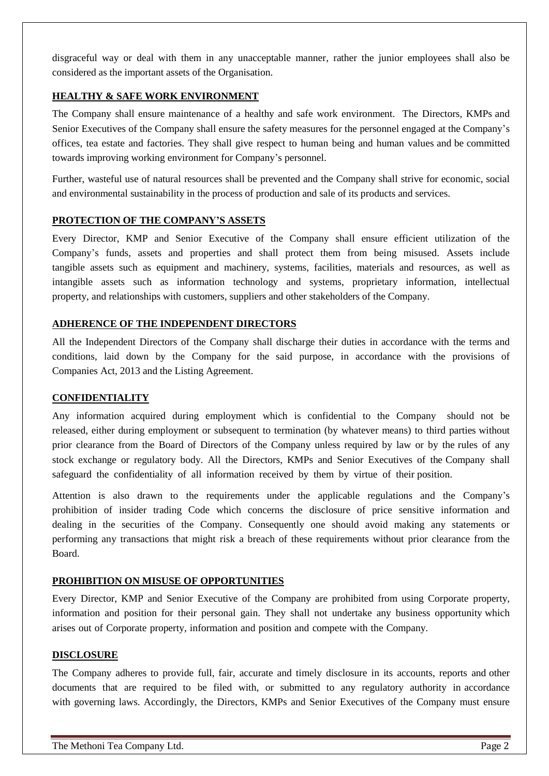disgraceful way or deal with them in any unacceptable manner, rather the junior employees shall also be considered as the important assets of the Organisation.

# **HEALTHY & SAFE WORK ENVIRONMENT**

The Company shall ensure maintenance of a healthy and safe work environment. The Directors, KMPs and Senior Executives of the Company shall ensure the safety measures for the personnel engaged at the Company's offices, tea estate and factories. They shall give respect to human being and human values and be committed towards improving working environment for Company's personnel.

Further, wasteful use of natural resources shall be prevented and the Company shall strive for economic, social and environmental sustainability in the process of production and sale of its products and services.

# **PROTECTION OF THE COMPANY'S ASSETS**

Every Director, KMP and Senior Executive of the Company shall ensure efficient utilization of the Company's funds, assets and properties and shall protect them from being misused. Assets include tangible assets such as equipment and machinery, systems, facilities, materials and resources, as well as intangible assets such as information technology and systems, proprietary information, intellectual property, and relationships with customers, suppliers and other stakeholders of the Company.

#### **ADHERENCE OF THE INDEPENDENT DIRECTORS**

All the Independent Directors of the Company shall discharge their duties in accordance with the terms and conditions, laid down by the Company for the said purpose, in accordance with the provisions of Companies Act, 2013 and the Listing Agreement.

#### **CONFIDENTIALITY**

Any information acquired during employment which is confidential to the Company should not be released, either during employment or subsequent to termination (by whatever means) to third parties without prior clearance from the Board of Directors of the Company unless required by law or by the rules of any stock exchange or regulatory body. All the Directors, KMPs and Senior Executives of the Company shall safeguard the confidentiality of all information received by them by virtue of their position.

Attention is also drawn to the requirements under the applicable regulations and the Company's prohibition of insider trading Code which concerns the disclosure of price sensitive information and dealing in the securities of the Company. Consequently one should avoid making any statements or performing any transactions that might risk a breach of these requirements without prior clearance from the Board.

#### **PROHIBITION ON MISUSE OF OPPORTUNITIES**

Every Director, KMP and Senior Executive of the Company are prohibited from using Corporate property, information and position for their personal gain. They shall not undertake any business opportunity which arises out of Corporate property, information and position and compete with the Company.

#### **DISCLOSURE**

The Company adheres to provide full, fair, accurate and timely disclosure in its accounts, reports and other documents that are required to be filed with, or submitted to any regulatory authority in accordance with governing laws. Accordingly, the Directors, KMPs and Senior Executives of the Company must ensure